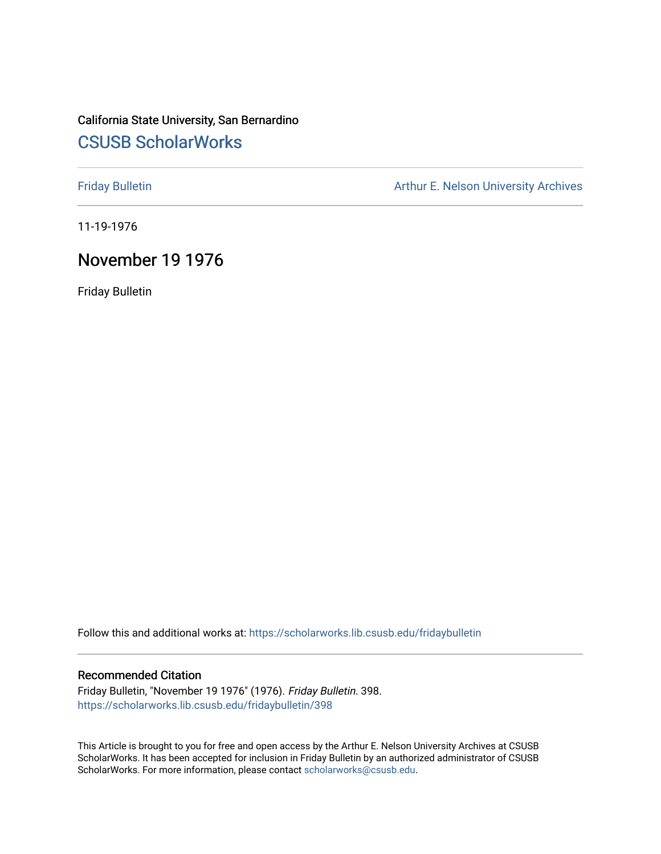# California State University, San Bernardino [CSUSB ScholarWorks](https://scholarworks.lib.csusb.edu/)

[Friday Bulletin](https://scholarworks.lib.csusb.edu/fridaybulletin) **Arthur E. Nelson University Archives** Arthur E. Nelson University Archives

11-19-1976

## November 19 1976

Friday Bulletin

Follow this and additional works at: [https://scholarworks.lib.csusb.edu/fridaybulletin](https://scholarworks.lib.csusb.edu/fridaybulletin?utm_source=scholarworks.lib.csusb.edu%2Ffridaybulletin%2F398&utm_medium=PDF&utm_campaign=PDFCoverPages)

## Recommended Citation

Friday Bulletin, "November 19 1976" (1976). Friday Bulletin. 398. [https://scholarworks.lib.csusb.edu/fridaybulletin/398](https://scholarworks.lib.csusb.edu/fridaybulletin/398?utm_source=scholarworks.lib.csusb.edu%2Ffridaybulletin%2F398&utm_medium=PDF&utm_campaign=PDFCoverPages)

This Article is brought to you for free and open access by the Arthur E. Nelson University Archives at CSUSB ScholarWorks. It has been accepted for inclusion in Friday Bulletin by an authorized administrator of CSUSB ScholarWorks. For more information, please contact [scholarworks@csusb.edu.](mailto:scholarworks@csusb.edu)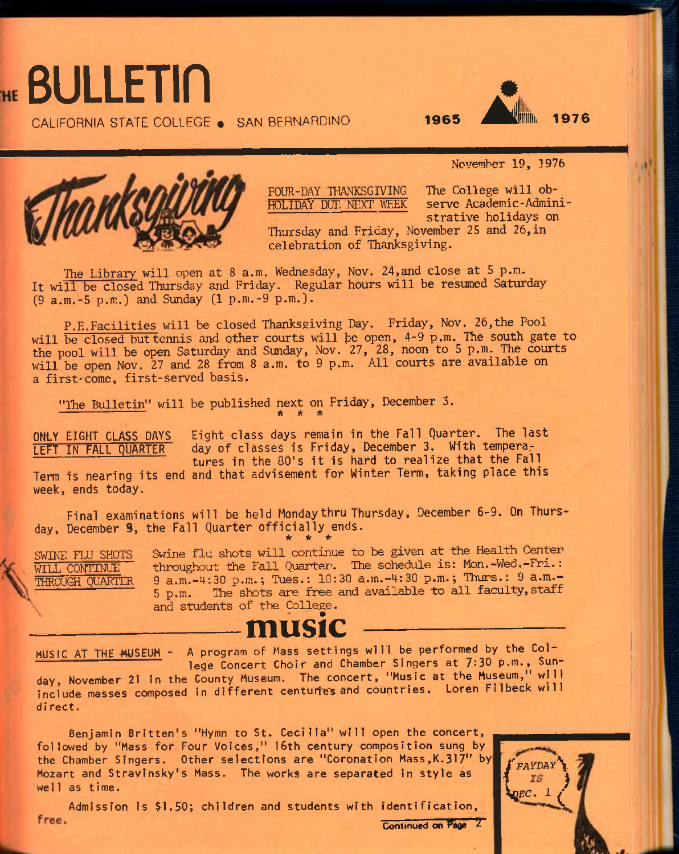

CALIFORNIA STATE COLLEGE . SAN BERNARDINO

# **A** Tillu **<sup>1965</sup>•il ^•Ullllii 1976**



FOUR-DAY THANKSGIVING The College will ob-<br>HOLIDAY DUE NEXT WEEK serve Academic-Admini-HOLIDAY DUE NEXT WEEK

November 19, 3976

strative holidays on

Thursday and Friday, November 25 and 26,in celebration of Thanksgiving.

The Library will open at 8 a.m. Wednesday, Nov. 24, and close at 5 p.m. It will be closed Thursday and Friday. Regular hours will be resumed Saturday (9 a.m.-5 p.m.) and Sunday (1 p.m.-9 p.m.).

P.E.Facilities will be closed Thanksgiving Day. Friday, Nov. 26,the Pool will be closed but tennis and other courts will be open, 4-9 p.m. The south gate to the pool will be open Saturday and Sunday, Nov. 27, 28, noon to 5 p.m. The courts will be open Nov. 27 and 28 from 8 a.m. to 9 p.m. All courts are available on a first-come, first-served basis. The Library will open at 8 a.m. Wednesday, Nov. 24, and<br>ill be closed Thursday and Friday. Regular hours will  $|m,-5 p,m.$ ) and Sunday (1 p.m.-9 p.m.).<br>P.E.Facilities will be closed Thanksgiving Day. Frida<br>be closed but tenni

"The Bulletin" will be published next on Friday, December 3. \* \*

ONLY **EIGHT CLASS DAYS Eight class days remain in the Fall Quarter. The last**  LEFT IN FALL QUARTER **day of classes is Friday, December 3.** With tempera**tures in the 80's it is hard to realize that the Fall** 

**Term is nearing its end and that advisement for Winter Term, taking place this week, ends today.** 

**Final examinations will be held Monday thru Thursday, December** 6-9. **On Thursday, December 9, the Fall Quarter officially ends. \* \* •** 

SWINE FLU SHOTS Swine flu shots will continue to be given at the Health Center WILL CONTINUE throughout the Fall Quarter. The schedule is: Mon.-Wed.-Fri.:  $THROUGH$  QUARTER 9 a.m.-4:30 p.m.; Tues.: 10:30 a.m.-4:30 p.m.; Thurs.: 9 a.m.-<br>5 p.m. The shots are free and available to all faculty, staff The shots are free and available to all faculty, staff and students of the College.

# **music -—**

MUSIC AT THE MUSEUM - A program of Mass settings will be performed by the College Concert Choir and Chamber Singers at 7:30 p.m., Sun-

day, November 21 in the County Museum. The concert, "Music at the Museum," will include masses composed in different centuries and countries. Loren Filbeck will direct.

Benjamin Britten's "Hymn to St. Cecilia" will open the concert, followed by "Mass for Four Voices," 16th century composition sung by the Chamber Singers. Other selections are "Coronation Mass,K.317" by Mozart and Stravinsky's Mass. The works are separated in style as well as time.

Admission is \$1.50; children and students with identification, free. Continued on Page

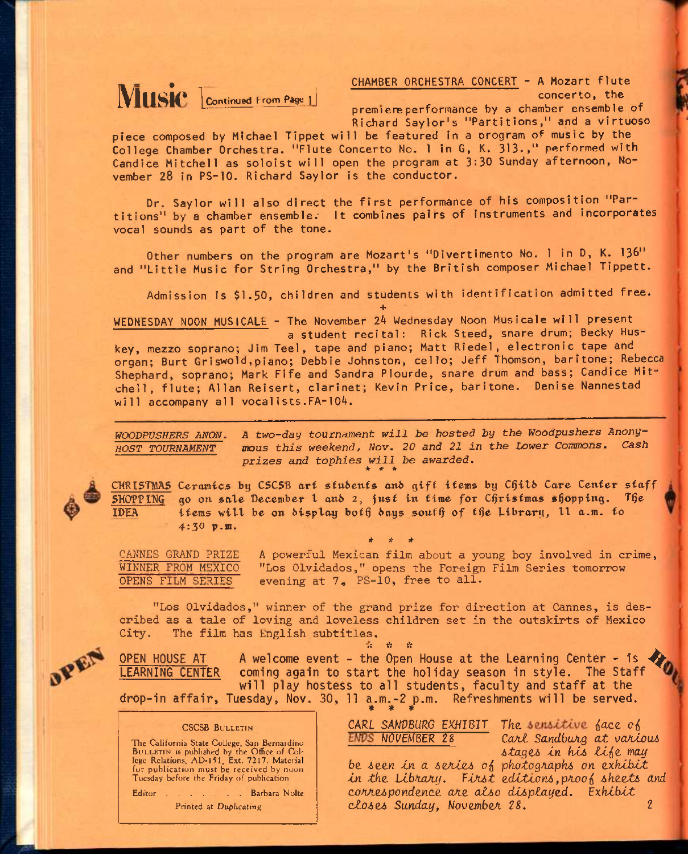

THAMBER ORCHESTRA CONCERT - A Mozart flute **interpreted From Page 1** . concerto. the **interpreted flutters** concerto. the **interpreted to the concert of the interpreted to the concert of the state of the concert of the sta** premiere performance by a chamber ensemble of

Richard Saylor's "Partitions," and a virtuoso piece composed by Michael Tippet will be featured In a program of music by the College Chamber Orchestra. "Flute Concerto No. 1 in G, K. 313-." performed with Candice Mitchell as soloist will open the program at 3:30 Sunday afternoon, November 28 in PS-10. Richard Saylor is the conductor.

Dr. Saylor will also direct the first performance of his composition "Partitions" by a chamber ensemble. It combines pairs of instruments and incorporates vocal sounds as part of the tone.

Other numbers on the program are Mozart's "Divertimento No. 1 in D, K. 136" and "Little Music for String Orchestra," by the British composer Michael Tippett.

Admission is \$1-50, children and students with identification admitted free.

**+**  WEDNESDAY NOON MUSICALE - The November *2H* Wednesday Noon Musicale will present

a student recital: Rick Steed, snare drum; Becky Huskey, mezzo soprano; Jim Teel, tape and piano; Matt Riedel, electronic tape and organ; Burt Griswold,piano; Debbie Johnston, cello; Jeff Thomson, baritone; Rebecca Shephard, soprano; Mark Fife and Sandra Plourde, snare drum and bass; Candice Mitchell, flute; Allan Reisert, clarinet; Kevin Price, baritone. Denise Nannestad will accompany all vocalists.FA-104.

*WOODPUSHERS ANON. A two-day tournament will be hosted by the Woodpushers Anony-HOST TOURNAMENT* ffloiis *this weekend, Nov. 20 and 21 in the Lower Commons. Cash prizes and tophies will be awarded.*  **\* \* \*** 

CHRISTMAS Ceramics by CSCSB art stubents and gift items by Chilb Care Center staff SKOPPINQ go on sate December t anb 2, *just* in *time* for C^risfmas shopping. T§e IDEA ifems will be on bisplay both bays south of the Library, 11 a.m. for 4:30 p.m.

*IT \* IT* 

CANNES GRAND PRIZE A powerful Mexican film about a young boy involved in crime, WINNER FROM MEXICO "Los Olvidados," opens the Foreign Film Series tomoirrow OPENS FILM SERIES evening at 7, PS-10, free to all.

"Los Olvidados," winner of the grand prize for direction at Cannes, is described as a tale of loving and loveless children set in the outskirts of Mexico City. The film has English subtitles.

 $\mathcal{R}^{\mathcal{C}}$ **OPEN HOUSE AT A welcome event - the Open House at the Learning Center - Is ^**  coming again to start the holiday season in style. The Staff **will play hostess to all students, faculty and staff at the**  drop-in affair, Tuesday, Nov. 30, 11 a.m.-2 p.m. Refreshments will be served.

#### CSCSB BULLETIN

The California State College, San Bernardino BULLETIN is published by the Office of Col-lege Relations, AD-151, Ext. 7217. Material for publication must be received by noon Tuesday before the Friday of publication.

Editor . . . . . Barbara Nolte Printed at Duplicating

CARL SANDBURG EXHIBIT The sensitive face of *ENDS NOVEMBER 28 Carl Sandburg at various* 

*6taga tn ki6 tiio. may* 

be seen in a series of photographs on exhibit in the Library. First editions, proof sheets and *conAe^pondtnce. ojit aJUo dti>playzd. "^xbtbtt cZoiOJi Sunday,* WouembcA *2S. 2*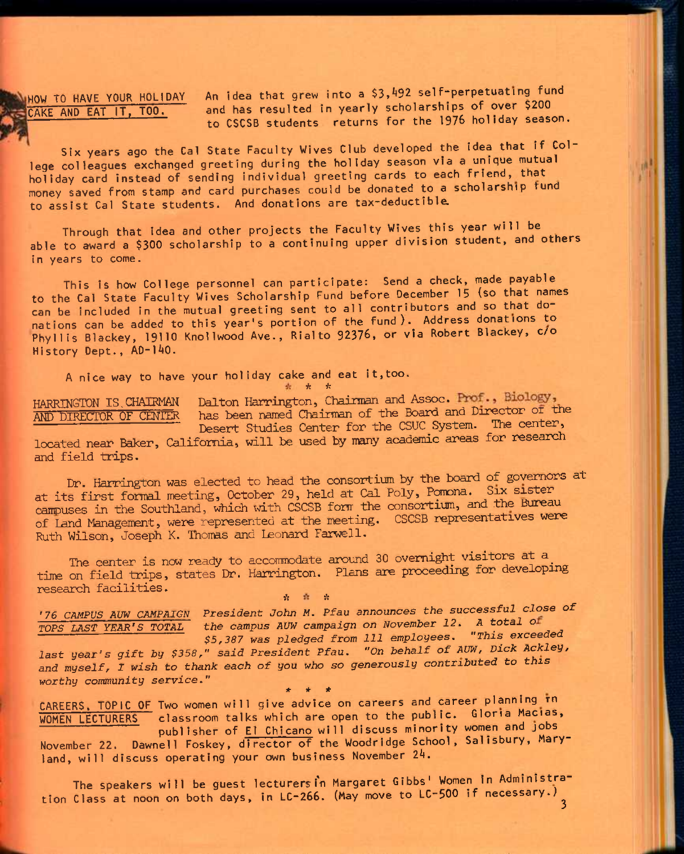HOW TO HAVE YOUR HOLIDAY An idea that grew into a \$3,492 self-perpetuating fund CAKE AND EAT IT, TOO. and has resulted in yearly scholarships of over \$200 to CSCSB students returns for the 1976 holiday season.

Six years ago the Cal State Faculty Wives Club developed the idea that if College colleagues exchanged greeting during the holiday season via a unique mutual holiday card instead of sending individual greeting cards to each friend, that money saved from stamp and card purchases could be donated to a scholarship fund to assist Cal State students. And donations are tax-deductible.

Through that idea and other projects the Faculty Wives this year will be able to award a \$300 scholarship to a continuing upper division student, and others in years to come.

This is how College personnel can participate: Send a check, made payable to the Cal State Faculty Wives Scholarship Fund before December 15 (so that names can be included in the mutual greeting sent to all contributors and so that donations can be added to this year's portion of the fund). Address donations to Phyllis Blackey, 19110 Knollwood Ave., Rialto 92376, or via Robert Blackey, c/o History Dept., AD-140.

A nice way to have your holiday cake and eat It,too.

*\* -h* 

HARRINGTON IS CHAIRMAN Dalton Harrington, Chairman and Assoc. HARRINGTON IS CHAIRMAN Dalton Harrington, Chairman and Assoc. Prof., Biology,<br>AND DIRECTOR OF CENTER has been named Chairman of the Board and Director of the Desert Studies Center for the CSUC System. The center,

located near Baker, California, will be used by many academic areas for research and field trips.

Dr. Harrington was elected to head the consortium by the board of governors at at its first formal meeting, October 29, held at Cal Poly, Pomona. Six sister campuses in the Southland, which with CSCSB form the consortium, and the Bureau of Land Managenent, were represented at the meeting. CSCSB representatives were Ruth Wilson, Joseph K. Thomas and Leonard Farwell.

The center is now ready to accommodate around 30 overnight visitors at a time on field trips, states Dr. Harrington. Plans are proceeding for developing research facilities.

*^* ft

*'76 CAMPUS AUW CAMPAIGN President John M. Pfau announces the successful close of TOPS LAST YEAR'S TOTAL* the campus AUW campaign on November 12. A total of

*\$5,387 was pledged from 111 employees. "This exceeded*  last year's gift by \$358," said President Pfau. "On behalf of AUW, Dick Ackley, *and* myself, *I wish to thank each of you who so generously contributed to this worthy community service."* 

**\* \* \***  CAREERS. TOPIC OF Two women will give advice on careers and career pianning rn WOMEN LECTURERS classroom talks which are open to the public. Gloria Macias, publisher of El Chicano wi11 discuss minority women and jobs

November 22. Dawnell Foskey, director of the Woodridge School, Salisbury, Maryland, will discuss operating your own business November 24.

The speakers will be guest lecturers in Margaret Gibbs' Women in Administration Class at noon on both days, in LC-266. (May move to LC-500 if necessary.)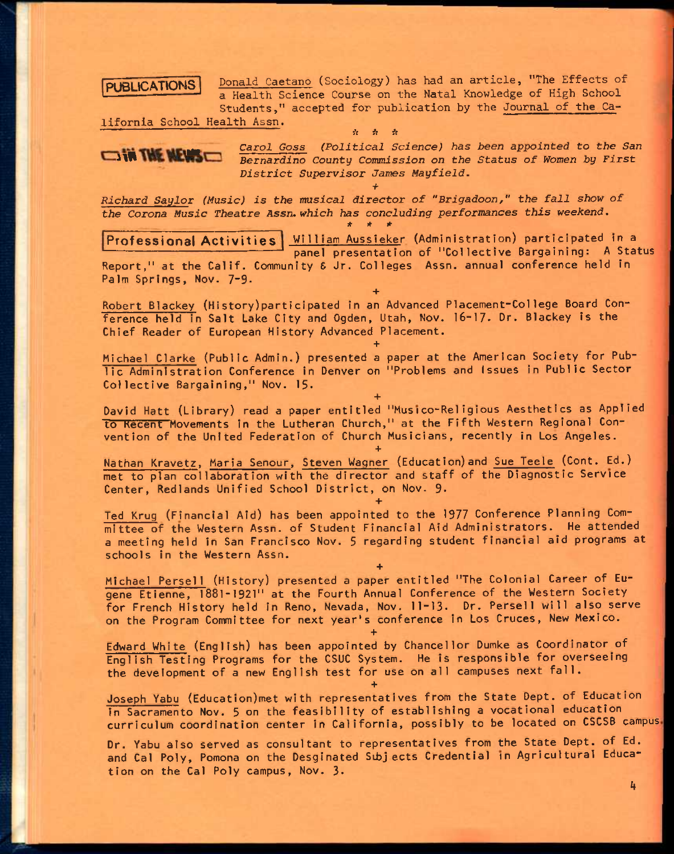## **PUBLICATIONS**

Donald Caetano (Sociology) has had an article, "The Effects of a Health Science Course on the Natal Knowledge of High School Students," accepted for publication by the Journal of the Ca-

lifornia School Health Assn. *"— it is is* 



*\* \* \**<br>Carol Goss (Political Science) has been appointed to the San <br>December 6 Caroline County Cornicaios on the Status of Momen by First Bernardino County Commission on the Status of Women by First *District Supervisor James Mayfield.* 

*Richard Saylor (Music) is the musical director of "Brigadoon," the fall show of the Corona Music Theatre Assn. which has concluding performances this weekend. \* t it* 

*+* 

**Professional Activities** | William Aussieker (Administration) participated in a panel presentation of "Collective Bargaining: A Status Report," at the Calif. Community & Jr. Colleges Assn. annual conference held in Palm Springs, Nov. 7-9.

**+** 

**+** 

Robert Blackey (History)participated in an Advanced Placement-College Board Conference held in Salt Lake City and Ogden, Utah, Nov. 16-17- Dr. Blackey is the Chief Reader of European History Advanced Placement.

Michael Clarke (Public Admin.) presented a paper at the American Society for Public Administration Conference in Denver on "Problems and issues in Public Sector Collective Bargaining," Nov. 15-

David Hatt (Library) read a paper entitled "Musico-Religious Aesthetics as Applied to Kecent Movements in the Lutheran Church," at the Fifth Western Regional Convention of the United Federation of Church Musicians, recently in Los Angeles.

**+** 

**+** 

**+** 

Nathan Kravetz, Maria Senour, Steven Wagner (Education)and Sue Teele (Cont. Ed.) met to plan collaboration with the director and staff of the Diagnostic Service Center, Redlands Unified School District, on Nov. 9-

Ted Krug (Financial Aid) has been appointed to the 1977 Conference Planning Committee of the Western Assn. of Student Financial Aid Administrators. He attended a meeting held in San Francisco Nov. 5 regarding student financial aid programs at schools In the Western Assn.

**+** 

Michael Persel1 (History) presented a paper entitled "The Colonial Career of Eugene Etienne, 1881-1921" at the Fourth Annual Conference of the Western Society for French History held in Reno, Nevada, Nov. 11-13. Dr. Persell will also serve on the Program Committee for next year's conference in Los Cruces, New Mexico.

**+** 

**+** 

Edward White (English) has been appointed by Chancellor Dumke as Coordinator of English Testing Programs for the CSUC System. He is responsible for overseeing the development of a new English test for use on all campuses next fall.

Joseph Yabu (Education)met with representatives from the State Dept. of Education in Sacramento Nov. 5 on the feasibility of establishing a vocational education curriculum coordination center in California, possibly to be located on CSCSB campus

Dr. Yabu also served as consultant to representatives from the State Dept. of Ed. and Cal Poly, Pomona on the Desginated Subjects Credential in Agricultural Education on the Cal Poly campus, Nov. 3-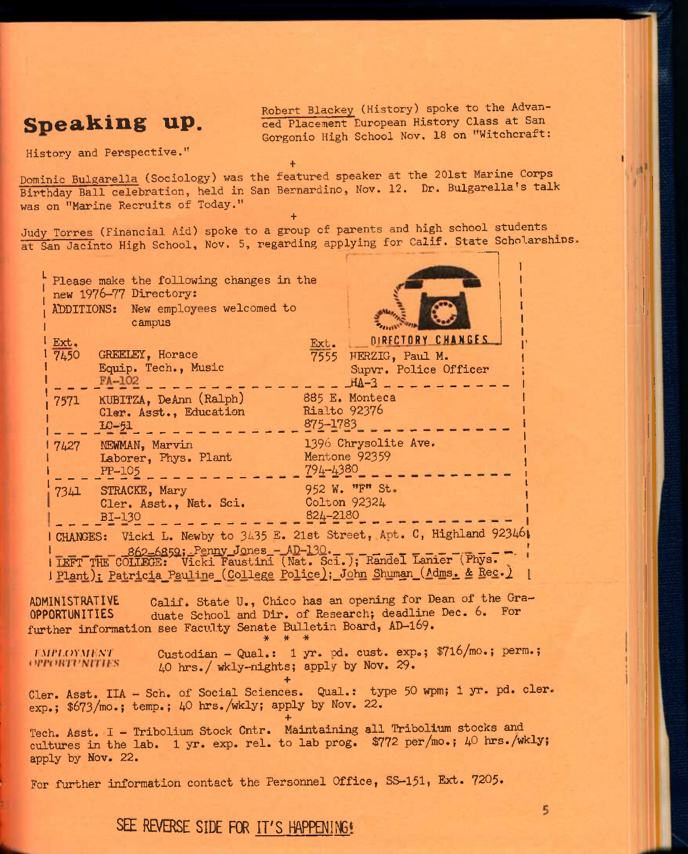History and Perspective."

Speaking up. *Robert Blackey (History) spoke to the Advan-* **Speaking up. Speaking up. Speaking in the Separate European History Class at San** Gorgonio High School Nov, 18 on "Witchcraft:

5

**+**  Dominic Bulgarella (Sociology) was the featured speaker at the 201st Marine Corps^ Birthday Ball celebration, held in San Bernardino, Nov. 12. Dr. Bulgarella's talk was on "Marine Recruits of Today."

**+**  Judy Torres (Financial Aid) spoke to a group of parents and high school students^ at San Jacinto High School, Nov. 5, regarding applying for Calif. State Scholarships

|                                                                                                                                                                  | Please make the following changes in the<br>new 1976-77 Directory:<br>ADDITIONS: New employees welcomed to<br>campus |                                                                                                                                                              |                                                                                                                       |                          |                                                         |                   |  |  |  |
|------------------------------------------------------------------------------------------------------------------------------------------------------------------|----------------------------------------------------------------------------------------------------------------------|--------------------------------------------------------------------------------------------------------------------------------------------------------------|-----------------------------------------------------------------------------------------------------------------------|--------------------------|---------------------------------------------------------|-------------------|--|--|--|
|                                                                                                                                                                  | Ext.<br>7450                                                                                                         | GREELEY, Horace<br>Equip. Tech., Music<br>FA-102                                                                                                             |                                                                                                                       | Ext.                     | 7555 HERZIG, Paul M.<br>Supvr. Police Officer<br>$HA-3$ | DIRECTORY CHANGES |  |  |  |
|                                                                                                                                                                  | 7571                                                                                                                 | KUBITZA, DeAnn (Ralph)<br>Cler. Asst., Education<br>$LC-51$                                                                                                  |                                                                                                                       | Rialto 92376<br>875-1783 | 885 E. Monteca                                          |                   |  |  |  |
|                                                                                                                                                                  | 7427                                                                                                                 | NEWMAN, Marvin<br>Laborer, Phys. Plant<br>PP-105                                                                                                             |                                                                                                                       | $794 - 4380$             | 1396 Chrysolite Ave.<br>Mentone 92359                   |                   |  |  |  |
|                                                                                                                                                                  | 734그                                                                                                                 | STRACKE, Mary<br>Cler. Asst., Nat. Sci.<br><b>BI-130</b>                                                                                                     |                                                                                                                       | 824-2180                 | 952 W. "F" St.<br>Colton 92324                          |                   |  |  |  |
| I CHANGES: Vicki L. Newby to 3435 E. 21st Street, Apt. C, Highland 92346;<br><u> I Plant); Patricia Pauline (College Police); John Shuman (Adms. &amp; Rec.)</u> |                                                                                                                      |                                                                                                                                                              |                                                                                                                       |                          |                                                         |                   |  |  |  |
|                                                                                                                                                                  | ADMINISTRATIVE<br>OPPORTUNITIES                                                                                      | further information see Faculty Senate Bulletin Board, AD-169.                                                                                               | Calif. State U., Chico has an opening for Dean of the Gra-<br>duate School and Dir. of Research; deadline Dec. 6. For |                          |                                                         |                   |  |  |  |
|                                                                                                                                                                  | <i><b>FMPLOYMENT</b></i><br><i><b>OPPORTUNITIES</b></i>                                                              |                                                                                                                                                              | Custodian - Qual.: 1 yr. pd. cust. exp.; \$716/mo.; perm.;<br>40 hrs./ wkly-nights; apply by Nov. 29.                 |                          |                                                         |                   |  |  |  |
|                                                                                                                                                                  |                                                                                                                      | Cler. Asst. IIA - Sch. of Social Sciences. Qual.: type 50 wpm; 1 yr. pd. cler.<br>exp.; \$673/mo.; temp.; 40 hrs./wkly; apply by Nov. 22.                    |                                                                                                                       |                          |                                                         |                   |  |  |  |
|                                                                                                                                                                  | apply by Nov. 22.                                                                                                    | Tech. Asst. I - Tribolium Stock Cntr. Maintaining all Tribolium stocks and<br>cultures in the lab. 1 yr. exp. rel. to lab prog. \$772 per/mo.; 40 hrs./wkly; |                                                                                                                       |                          |                                                         |                   |  |  |  |
|                                                                                                                                                                  |                                                                                                                      | For further information contact the Personnel Office, SS-151, Ext. 7205.                                                                                     |                                                                                                                       |                          |                                                         |                   |  |  |  |

SEE REVERSE SIDE FOR IT'S HAPPENING!